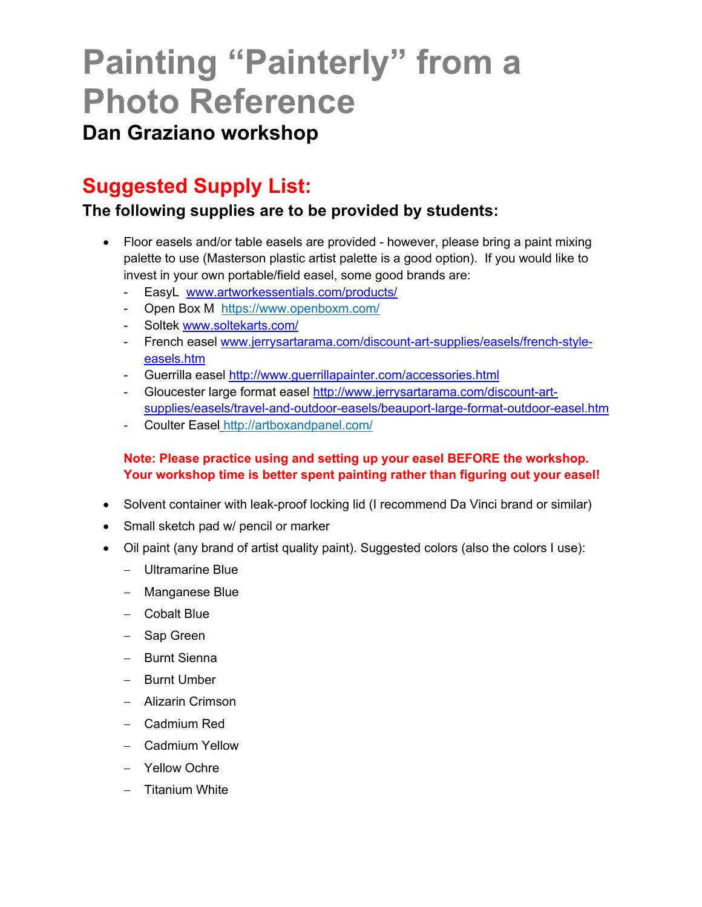# **Painting "Painterly" from a Photo Reference**

## **Dan Graziano workshop**

# **Suggested Supply List:**

## **The following supplies are to be provided by students:**

- Floor easels and/or table easels are provided however, please bring a paint mixing palette to use (Masterson plastic artist palette is a good option). If you would like to invest in your own portable/field easel, some good brands are:
	- EasyL www.artworkessentials.com/products/
	- Open Box M https://www.openboxm.com/
	- Soltek www.soltekarts.com/
	- French easel www.jerrysartarama.com/discount-art-supplies/easels/french-styleeasels.htm
	- Guerrilla easel http://www.guerrillapainter.com/accessories.html
	- Gloucester large format easel http://www.jerrysartarama.com/discount-artsupplies/easels/travel-and-outdoor-easels/beauport-large-format-outdoor-easel.htm
	- Coulter Easel http://artboxandpanel.com/

### **Note: Please practice using and setting up your easel BEFORE the workshop. Your workshop time is better spent painting rather than figuring out your easel!**

- Solvent container with leak-proof locking lid (I recommend Da Vinci brand or similar)
- Small sketch pad w/ pencil or marker
- Oil paint (any brand of artist quality paint). Suggested colors (also the colors I use):
	- Ultramarine Blue
	- Manganese Blue
	- Cobalt Blue
	- Sap Green
	- Burnt Sienna
	- Burnt Umber
	- Alizarin Crimson
	- Cadmium Red
	- Cadmium Yellow
	- Yellow Ochre
	- Titanium White